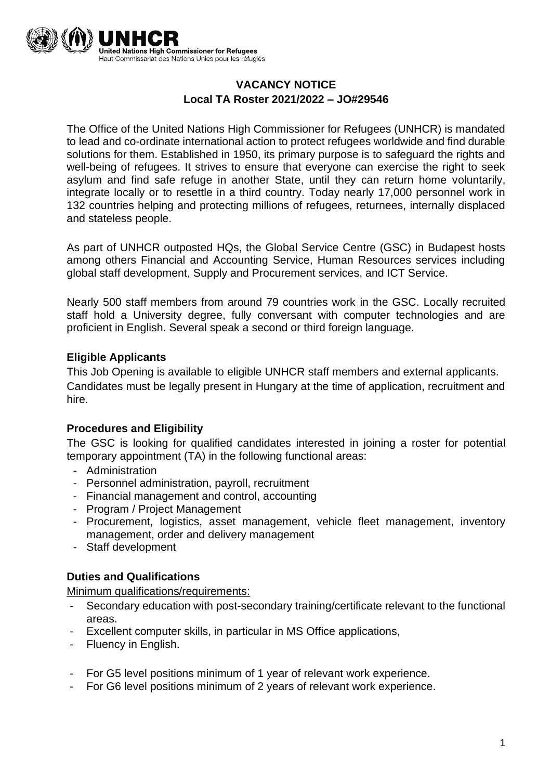

# **VACANCY NOTICE Local TA Roster 2021/2022 – JO#29546**

The Office of the United Nations High Commissioner for Refugees (UNHCR) is mandated to lead and co-ordinate international action to protect refugees worldwide and find durable solutions for them. Established in 1950, its primary purpose is to safeguard the rights and well-being of refugees. It strives to ensure that everyone can exercise the right to seek asylum and find safe refuge in another State, until they can return home voluntarily, integrate locally or to resettle in a third country. Today nearly 17,000 personnel work in 132 countries helping and protecting millions of refugees, returnees, internally displaced and stateless people.

As part of UNHCR outposted HQs, the Global Service Centre (GSC) in Budapest hosts among others Financial and Accounting Service, Human Resources services including global staff development, Supply and Procurement services, and ICT Service.

Nearly 500 staff members from around 79 countries work in the GSC. Locally recruited staff hold a University degree, fully conversant with computer technologies and are proficient in English. Several speak a second or third foreign language.

### **Eligible Applicants**

This Job Opening is available to eligible UNHCR staff members and external applicants. Candidates must be legally present in Hungary at the time of application, recruitment and hire.

#### **Procedures and Eligibility**

The GSC is looking for qualified candidates interested in joining a roster for potential temporary appointment (TA) in the following functional areas:

- Administration
- Personnel administration, payroll, recruitment
- Financial management and control, accounting
- Program / Project Management
- Procurement, logistics, asset management, vehicle fleet management, inventory management, order and delivery management
- Staff development

#### **Duties and Qualifications**

Minimum qualifications/requirements:

- Secondary education with post-secondary training/certificate relevant to the functional areas.
- Excellent computer skills, in particular in MS Office applications,
- Fluency in English.
- For G5 level positions minimum of 1 year of relevant work experience.
- For G6 level positions minimum of 2 years of relevant work experience.